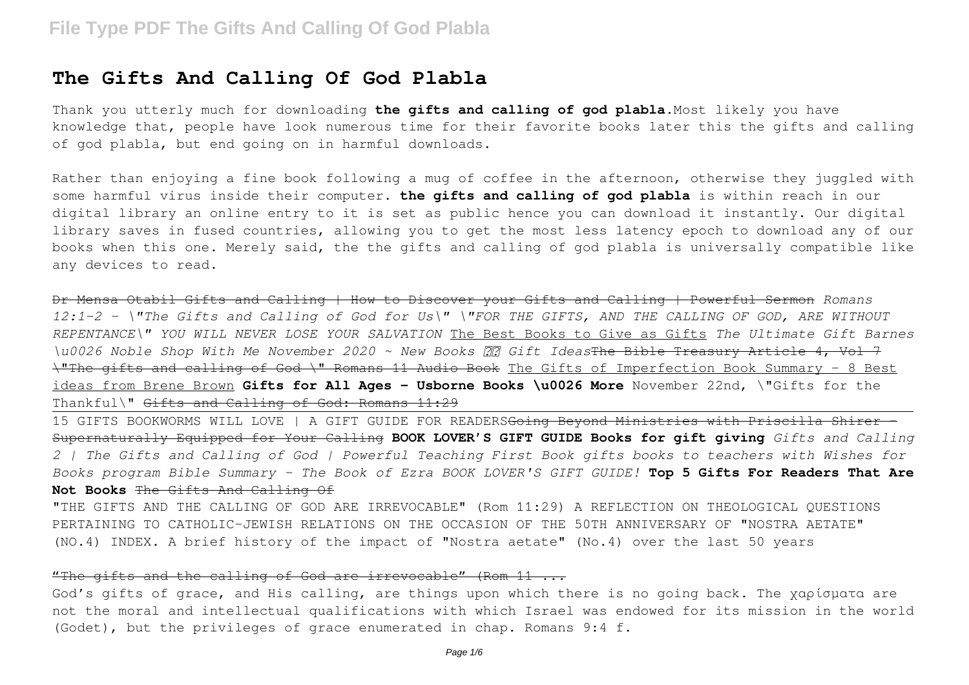## **The Gifts And Calling Of God Plabla**

Thank you utterly much for downloading **the gifts and calling of god plabla**.Most likely you have knowledge that, people have look numerous time for their favorite books later this the gifts and calling of god plabla, but end going on in harmful downloads.

Rather than enjoying a fine book following a mug of coffee in the afternoon, otherwise they juggled with some harmful virus inside their computer. **the gifts and calling of god plabla** is within reach in our digital library an online entry to it is set as public hence you can download it instantly. Our digital library saves in fused countries, allowing you to get the most less latency epoch to download any of our books when this one. Merely said, the the gifts and calling of god plabla is universally compatible like any devices to read.

Dr Mensa Otabil Gifts and Calling | How to Discover your Gifts and Calling | Powerful Sermon *Romans 12:1-2 - \"The Gifts and Calling of God for Us\" \"FOR THE GIFTS, AND THE CALLING OF GOD, ARE WITHOUT REPENTANCE\" YOU WILL NEVER LOSE YOUR SALVATION* The Best Books to Give as Gifts *The Ultimate Gift Barnes \u0026 Noble Shop With Me November 2020 ~ New Books Gift Ideas*The Bible Treasury Article 4, Vol 7 \"The gifts and calling of God \" Romans 11 Audio Book The Gifts of Imperfection Book Summary - 8 Best ideas from Brene Brown **Gifts for All Ages - Usborne Books \u0026 More** November 22nd, \"Gifts for the Thankful\" Gifts and Calling of God: Romans 11:29

15 GIFTS BOOKWORMS WILL LOVE | A GIFT GUIDE FOR READERSGoing Beyond Ministries with Priscilla Shirer - Supernaturally Equipped for Your Calling **BOOK LOVER'S GIFT GUIDE Books for gift giving** *Gifts and Calling 2 | The Gifts and Calling of God | Powerful Teaching First Book gifts books to teachers with Wishes for Books program Bible Summary - The Book of Ezra BOOK LOVER'S GIFT GUIDE!* **Top 5 Gifts For Readers That Are Not Books** The Gifts And Calling Of

"THE GIFTS AND THE CALLING OF GOD ARE IRREVOCABLE" (Rom 11:29) A REFLECTION ON THEOLOGICAL QUESTIONS PERTAINING TO CATHOLIC–JEWISH RELATIONS ON THE OCCASION OF THE 50TH ANNIVERSARY OF "NOSTRA AETATE" (NO.4) INDEX. A brief history of the impact of "Nostra aetate" (No.4) over the last 50 years

## "The gifts and the calling of God are irrevocable" (Rom 11 ...

God's gifts of grace, and His calling, are things upon which there is no going back. The χαρίσματα are not the moral and intellectual qualifications with which Israel was endowed for its mission in the world (Godet), but the privileges of grace enumerated in chap. Romans 9:4 f.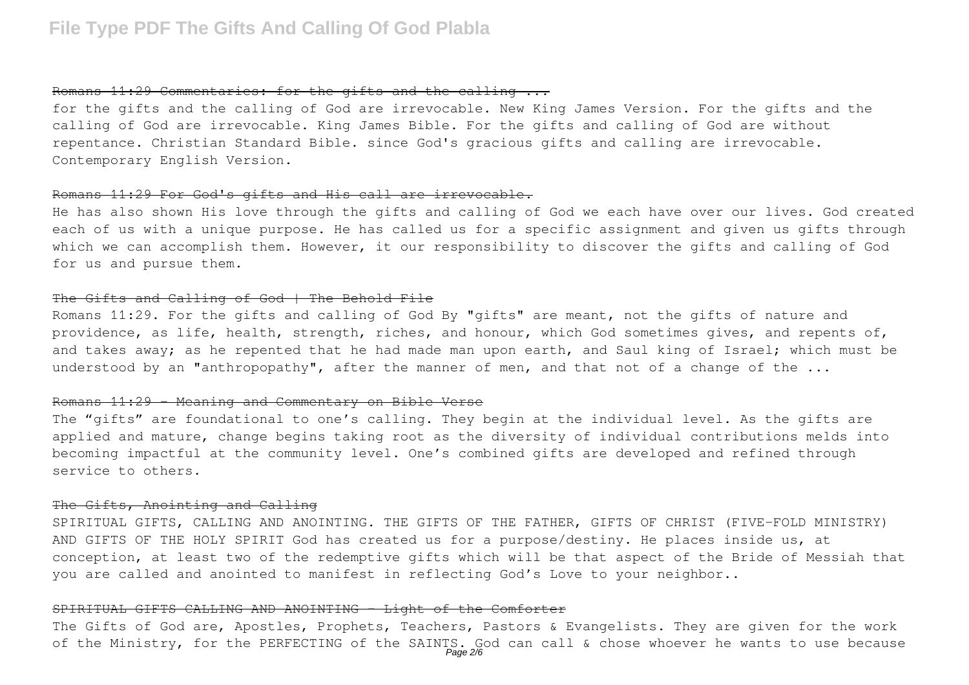## Romans 11:29 Commentaries: for the gifts and the calling ...

for the gifts and the calling of God are irrevocable. New King James Version. For the gifts and the calling of God are irrevocable. King James Bible. For the gifts and calling of God are without repentance. Christian Standard Bible. since God's gracious gifts and calling are irrevocable. Contemporary English Version.

## Romans 11:29 For God's gifts and His call are irrevocable.

He has also shown His love through the gifts and calling of God we each have over our lives. God created each of us with a unique purpose. He has called us for a specific assignment and given us gifts through which we can accomplish them. However, it our responsibility to discover the gifts and calling of God for us and pursue them.

#### The Gifts and Calling of God | The Behold File

Romans 11:29. For the gifts and calling of God By "gifts" are meant, not the gifts of nature and providence, as life, health, strength, riches, and honour, which God sometimes gives, and repents of, and takes away; as he repented that he had made man upon earth, and Saul king of Israel; which must be understood by an "anthropopathy", after the manner of men, and that not of a change of the ...

#### Romans 11:29 - Meaning and Commentary on Bible Verse

The "gifts" are foundational to one's calling. They begin at the individual level. As the gifts are applied and mature, change begins taking root as the diversity of individual contributions melds into becoming impactful at the community level. One's combined gifts are developed and refined through service to others.

#### The Gifts, Anointing and Calling

SPIRITUAL GIFTS, CALLING AND ANOINTING. THE GIFTS OF THE FATHER, GIFTS OF CHRIST (FIVE-FOLD MINISTRY) AND GIFTS OF THE HOLY SPIRIT God has created us for a purpose/destiny. He places inside us, at conception, at least two of the redemptive gifts which will be that aspect of the Bride of Messiah that you are called and anointed to manifest in reflecting God's Love to your neighbor..

#### SPIRITUAL GIFTS CALLING AND ANOINTING - Light of the Comforter

The Gifts of God are, Apostles, Prophets, Teachers, Pastors & Evangelists. They are given for the work of the Ministry, for the PERFECTING of the SAINTS. God can call & chose whoever he wants to use because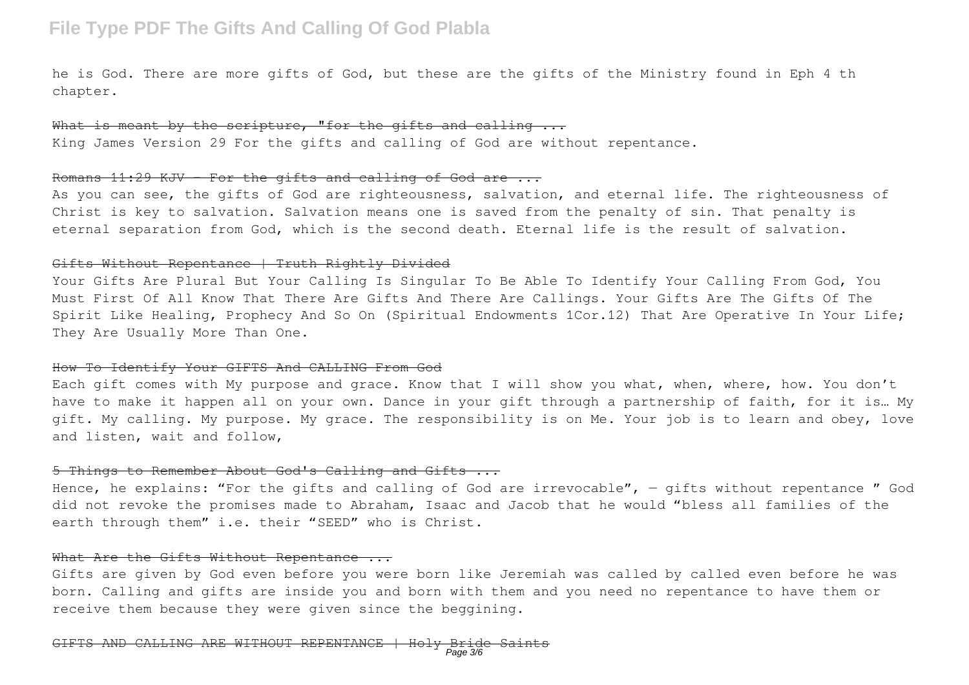he is God. There are more gifts of God, but these are the gifts of the Ministry found in Eph 4 th chapter.

What is meant by the scripture, "for the gifts and calling ... King James Version 29 For the gifts and calling of God are without repentance.

#### Romans 11:29 KJV - For the gifts and calling of God are ...

As you can see, the gifts of God are righteousness, salvation, and eternal life. The righteousness of Christ is key to salvation. Salvation means one is saved from the penalty of sin. That penalty is eternal separation from God, which is the second death. Eternal life is the result of salvation.

## Gifts Without Repentance | Truth Rightly Divided

Your Gifts Are Plural But Your Calling Is Singular To Be Able To Identify Your Calling From God, You Must First Of All Know That There Are Gifts And There Are Callings. Your Gifts Are The Gifts Of The Spirit Like Healing, Prophecy And So On (Spiritual Endowments 1Cor.12) That Are Operative In Your Life; They Are Usually More Than One.

#### How To Identify Your GIFTS And CALLING From God

Each gift comes with My purpose and grace. Know that I will show you what, when, where, how. You don't have to make it happen all on your own. Dance in your gift through a partnership of faith, for it is… My gift. My calling. My purpose. My grace. The responsibility is on Me. Your job is to learn and obey, love and listen, wait and follow,

### 5 Things to Remember About God's Calling and Gifts ...

Hence, he explains: "For the gifts and calling of God are irrevocable", - gifts without repentance " God did not revoke the promises made to Abraham, Isaac and Jacob that he would "bless all families of the earth through them" i.e. their "SEED" who is Christ.

### What Are the Gifts Without Repentance ...

Gifts are given by God even before you were born like Jeremiah was called by called even before he was born. Calling and gifts are inside you and born with them and you need no repentance to have them or receive them because they were given since the beggining.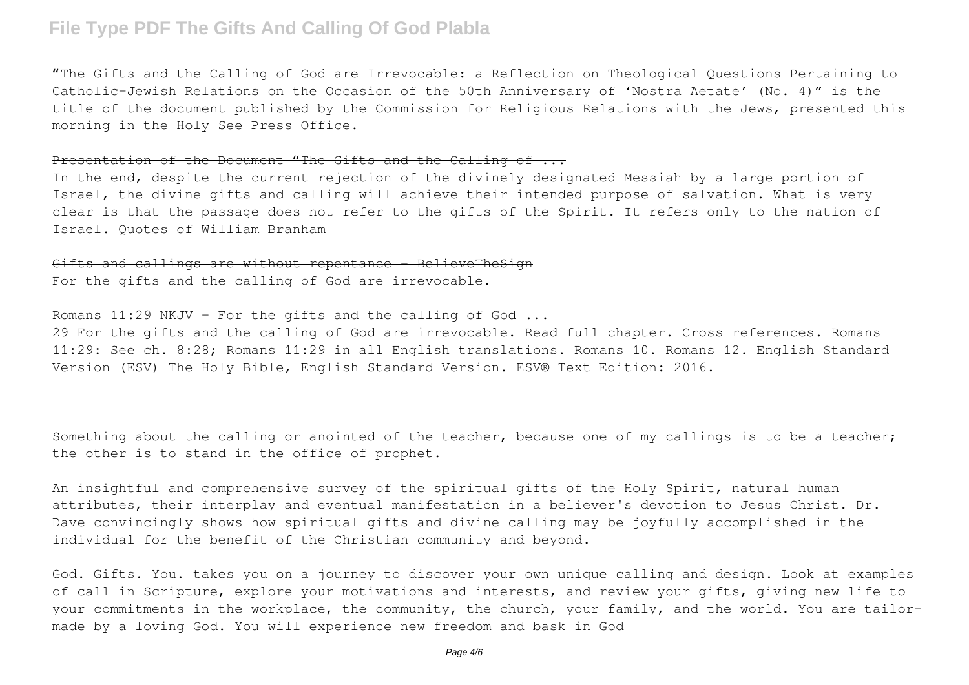"The Gifts and the Calling of God are Irrevocable: a Reflection on Theological Questions Pertaining to Catholic–Jewish Relations on the Occasion of the 50th Anniversary of 'Nostra Aetate' (No. 4)" is the title of the document published by the Commission for Religious Relations with the Jews, presented this morning in the Holy See Press Office.

## Presentation of the Document "The Gifts and the Calling of ...

In the end, despite the current rejection of the divinely designated Messiah by a large portion of Israel, the divine gifts and calling will achieve their intended purpose of salvation. What is very clear is that the passage does not refer to the gifts of the Spirit. It refers only to the nation of Israel. Quotes of William Branham

#### Gifts and callings are without repentance - BelieveTheSign

For the gifts and the calling of God are irrevocable.

## Romans 11:29 NKJV - For the gifts and the calling of God ...

29 For the gifts and the calling of God are irrevocable. Read full chapter. Cross references. Romans 11:29: See ch. 8:28; Romans 11:29 in all English translations. Romans 10. Romans 12. English Standard Version (ESV) The Holy Bible, English Standard Version. ESV® Text Edition: 2016.

Something about the calling or anointed of the teacher, because one of my callings is to be a teacher; the other is to stand in the office of prophet.

An insightful and comprehensive survey of the spiritual gifts of the Holy Spirit, natural human attributes, their interplay and eventual manifestation in a believer's devotion to Jesus Christ. Dr. Dave convincingly shows how spiritual gifts and divine calling may be joyfully accomplished in the individual for the benefit of the Christian community and beyond.

God. Gifts. You. takes you on a journey to discover your own unique calling and design. Look at examples of call in Scripture, explore your motivations and interests, and review your gifts, giving new life to your commitments in the workplace, the community, the church, your family, and the world. You are tailormade by a loving God. You will experience new freedom and bask in God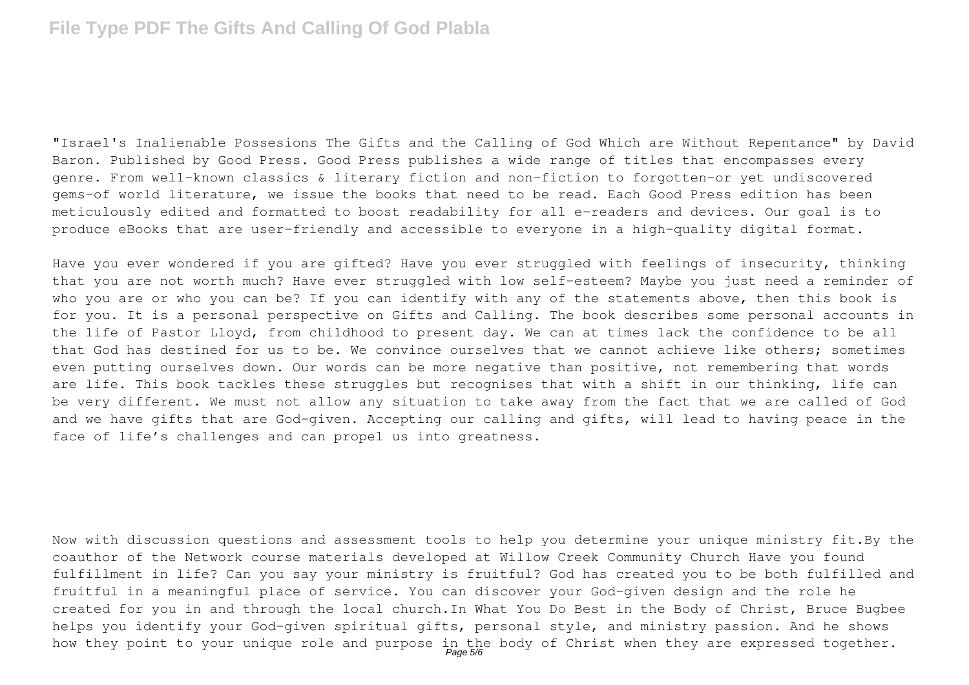"Israel's Inalienable Possesions The Gifts and the Calling of God Which are Without Repentance" by David Baron. Published by Good Press. Good Press publishes a wide range of titles that encompasses every genre. From well-known classics & literary fiction and non-fiction to forgotten−or yet undiscovered gems−of world literature, we issue the books that need to be read. Each Good Press edition has been meticulously edited and formatted to boost readability for all e-readers and devices. Our goal is to produce eBooks that are user-friendly and accessible to everyone in a high-quality digital format.

Have you ever wondered if you are gifted? Have you ever struggled with feelings of insecurity, thinking that you are not worth much? Have ever struggled with low self-esteem? Maybe you just need a reminder of who you are or who you can be? If you can identify with any of the statements above, then this book is for you. It is a personal perspective on Gifts and Calling. The book describes some personal accounts in the life of Pastor Lloyd, from childhood to present day. We can at times lack the confidence to be all that God has destined for us to be. We convince ourselves that we cannot achieve like others; sometimes even putting ourselves down. Our words can be more negative than positive, not remembering that words are life. This book tackles these struggles but recognises that with a shift in our thinking, life can be very different. We must not allow any situation to take away from the fact that we are called of God and we have gifts that are God-given. Accepting our calling and gifts, will lead to having peace in the face of life's challenges and can propel us into greatness.

Now with discussion questions and assessment tools to help you determine your unique ministry fit.By the coauthor of the Network course materials developed at Willow Creek Community Church Have you found fulfillment in life? Can you say your ministry is fruitful? God has created you to be both fulfilled and fruitful in a meaningful place of service. You can discover your God-given design and the role he created for you in and through the local church.In What You Do Best in the Body of Christ, Bruce Bugbee helps you identify your God-given spiritual gifts, personal style, and ministry passion. And he shows how they point to your unique role and purpose in the body of Christ when they are expressed together.